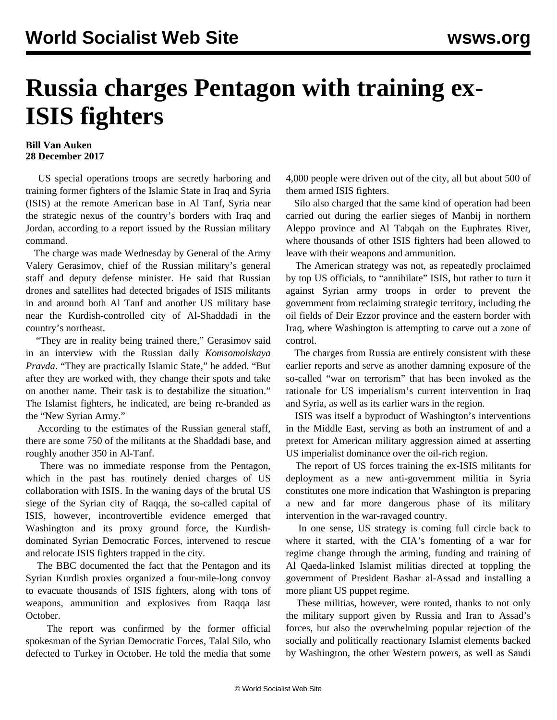## **Russia charges Pentagon with training ex-ISIS fighters**

## **Bill Van Auken 28 December 2017**

 US special operations troops are secretly harboring and training former fighters of the Islamic State in Iraq and Syria (ISIS) at the remote American base in Al Tanf, Syria near the strategic nexus of the country's borders with Iraq and Jordan, according to a report issued by the Russian military command.

 The charge was made Wednesday by General of the Army Valery Gerasimov, chief of the Russian military's general staff and deputy defense minister. He said that Russian drones and satellites had detected brigades of ISIS militants in and around both Al Tanf and another US military base near the Kurdish-controlled city of Al-Shaddadi in the country's northeast.

 "They are in reality being trained there," Gerasimov said in an interview with the Russian daily *Komsomolskaya Pravda*. "They are practically Islamic State," he added. "But after they are worked with, they change their spots and take on another name. Their task is to destabilize the situation." The Islamist fighters, he indicated, are being re-branded as the "New Syrian Army."

 According to the estimates of the Russian general staff, there are some 750 of the militants at the Shaddadi base, and roughly another 350 in Al-Tanf.

 There was no immediate response from the Pentagon, which in the past has routinely denied charges of US collaboration with ISIS. In the waning days of the brutal US siege of the Syrian city of Raqqa, the so-called capital of ISIS, however, incontrovertible evidence emerged that Washington and its proxy ground force, the Kurdishdominated Syrian Democratic Forces, intervened to rescue and relocate ISIS fighters trapped in the city.

 The BBC [documented](http://www.bbc.com/news/resources/idt-sh/raqqas_dirty_secret) the fact that the Pentagon and its Syrian Kurdish proxies organized a four-mile-long convoy to evacuate thousands of ISIS fighters, along with tons of weapons, ammunition and explosives from Raqqa last October.

 The report was confirmed by the former official spokesman of the Syrian Democratic Forces, Talal Silo, who defected to Turkey in October. He told the media that some 4,000 people were driven out of the city, all but about 500 of them armed ISIS fighters.

 Silo also charged that the same kind of operation had been carried out during the earlier sieges of Manbij in northern Aleppo province and Al Tabqah on the Euphrates River, where thousands of other ISIS fighters had been allowed to leave with their weapons and ammunition.

 The American strategy was not, as repeatedly proclaimed by top US officials, to "annihilate" ISIS, but rather to turn it against Syrian army troops in order to prevent the government from reclaiming strategic territory, including the oil fields of Deir Ezzor province and the eastern border with Iraq, where Washington is attempting to carve out a zone of control.

 The charges from Russia are entirely consistent with these earlier reports and serve as another damning exposure of the so-called "war on terrorism" that has been invoked as the rationale for US imperialism's current intervention in Iraq and Syria, as well as its earlier wars in the region.

 ISIS was itself a byproduct of Washington's interventions in the Middle East, serving as both an instrument of and a pretext for American military aggression aimed at asserting US imperialist dominance over the oil-rich region.

 The report of US forces training the ex-ISIS militants for deployment as a new anti-government militia in Syria constitutes one more indication that Washington is preparing a new and far more dangerous phase of its military intervention in the war-ravaged country.

 In one sense, US strategy is coming full circle back to where it started, with the CIA's fomenting of a war for regime change through the arming, funding and training of Al Qaeda-linked Islamist militias directed at toppling the government of President Bashar al-Assad and installing a more pliant US puppet regime.

 These militias, however, were routed, thanks to not only the military support given by Russia and Iran to Assad's forces, but also the overwhelming popular rejection of the socially and politically reactionary Islamist elements backed by Washington, the other Western powers, as well as Saudi